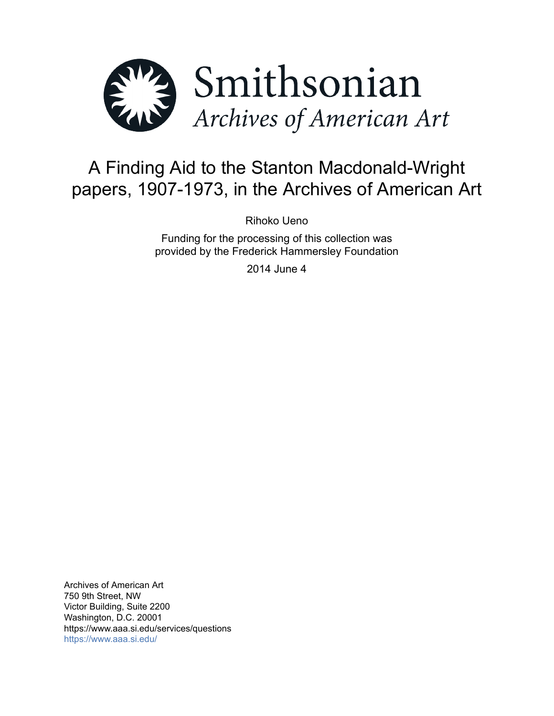

# A Finding Aid to the Stanton Macdonald-Wright papers, 1907-1973, in the Archives of American Art

Rihoko Ueno

Funding for the processing of this collection was provided by the Frederick Hammersley Foundation

2014 June 4

Archives of American Art 750 9th Street, NW Victor Building, Suite 2200 Washington, D.C. 20001 https://www.aaa.si.edu/services/questions <https://www.aaa.si.edu/>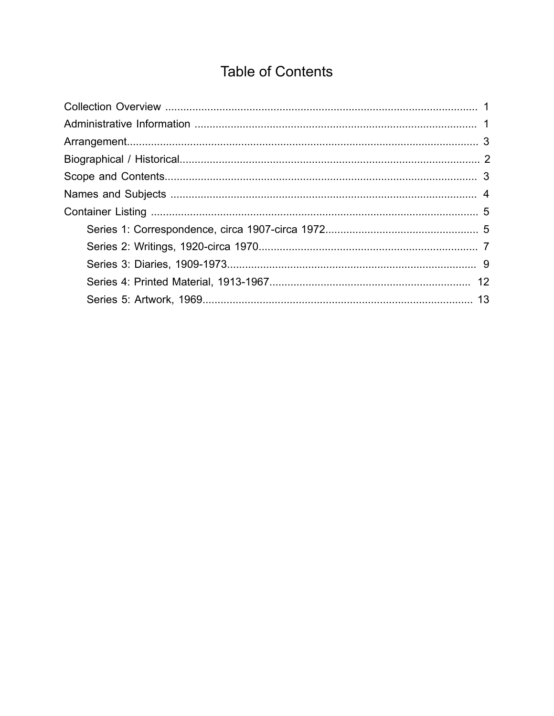# **Table of Contents**

<span id="page-1-0"></span>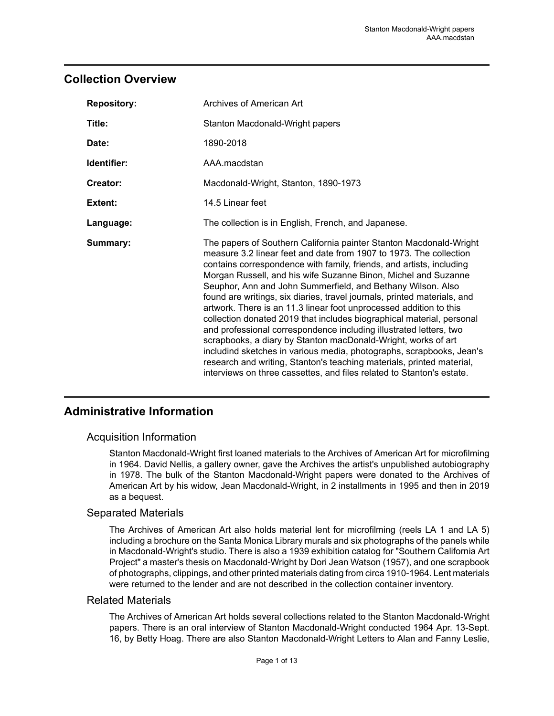### <span id="page-2-0"></span>**Collection Overview**

| <b>Repository:</b> | Archives of American Art                                                                                                                                                                                                                                                                                                                                                                                                                                                                                                                                                                                                                                                                                                                                                                                                                                                                                                                      |
|--------------------|-----------------------------------------------------------------------------------------------------------------------------------------------------------------------------------------------------------------------------------------------------------------------------------------------------------------------------------------------------------------------------------------------------------------------------------------------------------------------------------------------------------------------------------------------------------------------------------------------------------------------------------------------------------------------------------------------------------------------------------------------------------------------------------------------------------------------------------------------------------------------------------------------------------------------------------------------|
| Title:             | Stanton Macdonald-Wright papers                                                                                                                                                                                                                                                                                                                                                                                                                                                                                                                                                                                                                                                                                                                                                                                                                                                                                                               |
| Date:              | 1890-2018                                                                                                                                                                                                                                                                                                                                                                                                                                                                                                                                                                                                                                                                                                                                                                                                                                                                                                                                     |
| Identifier:        | AAA.macdstan                                                                                                                                                                                                                                                                                                                                                                                                                                                                                                                                                                                                                                                                                                                                                                                                                                                                                                                                  |
| Creator:           | Macdonald-Wright, Stanton, 1890-1973                                                                                                                                                                                                                                                                                                                                                                                                                                                                                                                                                                                                                                                                                                                                                                                                                                                                                                          |
| Extent:            | 14.5 Linear feet                                                                                                                                                                                                                                                                                                                                                                                                                                                                                                                                                                                                                                                                                                                                                                                                                                                                                                                              |
| Language:          | The collection is in English, French, and Japanese.                                                                                                                                                                                                                                                                                                                                                                                                                                                                                                                                                                                                                                                                                                                                                                                                                                                                                           |
| Summary:           | The papers of Southern California painter Stanton Macdonald-Wright<br>measure 3.2 linear feet and date from 1907 to 1973. The collection<br>contains correspondence with family, friends, and artists, including<br>Morgan Russell, and his wife Suzanne Binon, Michel and Suzanne<br>Seuphor, Ann and John Summerfield, and Bethany Wilson. Also<br>found are writings, six diaries, travel journals, printed materials, and<br>artwork. There is an 11.3 linear foot unprocessed addition to this<br>collection donated 2019 that includes biographical material, personal<br>and professional correspondence including illustrated letters, two<br>scrapbooks, a diary by Stanton macDonald-Wright, works of art<br>includind sketches in various media, photographs, scrapbooks, Jean's<br>research and writing, Stanton's teaching materials, printed material,<br>interviews on three cassettes, and files related to Stanton's estate. |

## <span id="page-2-1"></span>**Administrative Information**

### Acquisition Information

Stanton Macdonald-Wright first loaned materials to the Archives of American Art for microfilming in 1964. David Nellis, a gallery owner, gave the Archives the artist's unpublished autobiography in 1978. The bulk of the Stanton Macdonald-Wright papers were donated to the Archives of American Art by his widow, Jean Macdonald-Wright, in 2 installments in 1995 and then in 2019 as a bequest.

### Separated Materials

The Archives of American Art also holds material lent for microfilming (reels LA 1 and LA 5) including a brochure on the Santa Monica Library murals and six photographs of the panels while in Macdonald-Wright's studio. There is also a 1939 exhibition catalog for "Southern California Art Project" a master's thesis on Macdonald-Wright by Dori Jean Watson (1957), and one scrapbook of photographs, clippings, and other printed materials dating from circa 1910-1964. Lent materials were returned to the lender and are not described in the collection container inventory.

### Related Materials

The Archives of American Art holds several collections related to the Stanton Macdonald-Wright papers. There is an oral interview of Stanton Macdonald-Wright conducted 1964 Apr. 13-Sept. 16, by Betty Hoag. There are also Stanton Macdonald-Wright Letters to Alan and Fanny Leslie,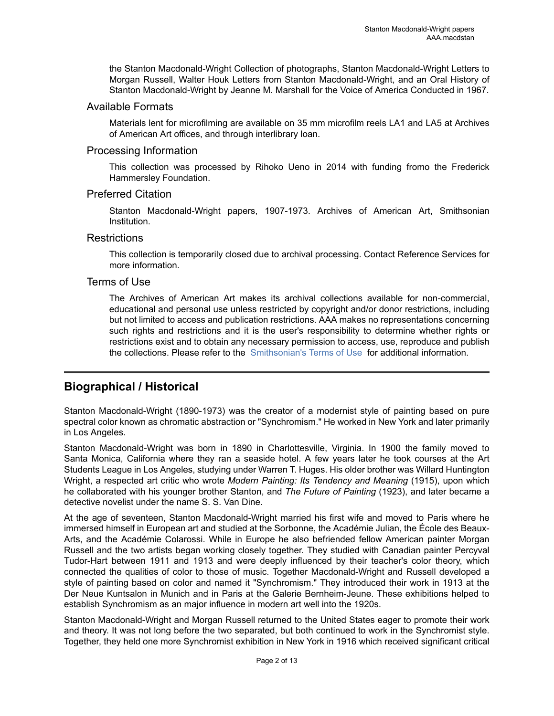the Stanton Macdonald-Wright Collection of photographs, Stanton Macdonald-Wright Letters to Morgan Russell, Walter Houk Letters from Stanton Macdonald-Wright, and an Oral History of Stanton Macdonald-Wright by Jeanne M. Marshall for the Voice of America Conducted in 1967.

### Available Formats

Materials lent for microfilming are available on 35 mm microfilm reels LA1 and LA5 at Archives of American Art offices, and through interlibrary loan.

#### Processing Information

This collection was processed by Rihoko Ueno in 2014 with funding fromo the Frederick Hammersley Foundation.

### Preferred Citation

Stanton Macdonald-Wright papers, 1907-1973. Archives of American Art, Smithsonian Institution.

#### **Restrictions**

This collection is temporarily closed due to archival processing. Contact Reference Services for more information.

### Terms of Use

The Archives of American Art makes its archival collections available for non-commercial, educational and personal use unless restricted by copyright and/or donor restrictions, including but not limited to access and publication restrictions. AAA makes no representations concerning such rights and restrictions and it is the user's responsibility to determine whether rights or restrictions exist and to obtain any necessary permission to access, use, reproduce and publish the collections. Please refer to the [Smithsonian's](https://www.si.edu/termsofuse) Terms of Use for additional information.

# <span id="page-3-0"></span>**Biographical / Historical**

Stanton Macdonald-Wright (1890-1973) was the creator of a modernist style of painting based on pure spectral color known as chromatic abstraction or "Synchromism." He worked in New York and later primarily in Los Angeles.

Stanton Macdonald-Wright was born in 1890 in Charlottesville, Virginia. In 1900 the family moved to Santa Monica, California where they ran a seaside hotel. A few years later he took courses at the Art Students League in Los Angeles, studying under Warren T. Huges. His older brother was Willard Huntington Wright, a respected art critic who wrote *Modern Painting: Its Tendency and Meaning* (1915), upon which he collaborated with his younger brother Stanton, and *The Future of Painting* (1923), and later became a detective novelist under the name S. S. Van Dine.

At the age of seventeen, Stanton Macdonald-Wright married his first wife and moved to Paris where he immersed himself in European art and studied at the Sorbonne, the Académie Julian, the École des Beaux-Arts, and the Académie Colarossi. While in Europe he also befriended fellow American painter Morgan Russell and the two artists began working closely together. They studied with Canadian painter Percyval Tudor-Hart between 1911 and 1913 and were deeply influenced by their teacher's color theory, which connected the qualities of color to those of music. Together Macdonald-Wright and Russell developed a style of painting based on color and named it "Synchromism." They introduced their work in 1913 at the Der Neue Kuntsalon in Munich and in Paris at the Galerie Bernheim-Jeune. These exhibitions helped to establish Synchromism as an major influence in modern art well into the 1920s.

Stanton Macdonald-Wright and Morgan Russell returned to the United States eager to promote their work and theory. It was not long before the two separated, but both continued to work in the Synchromist style. Together, they held one more Synchromist exhibition in New York in 1916 which received significant critical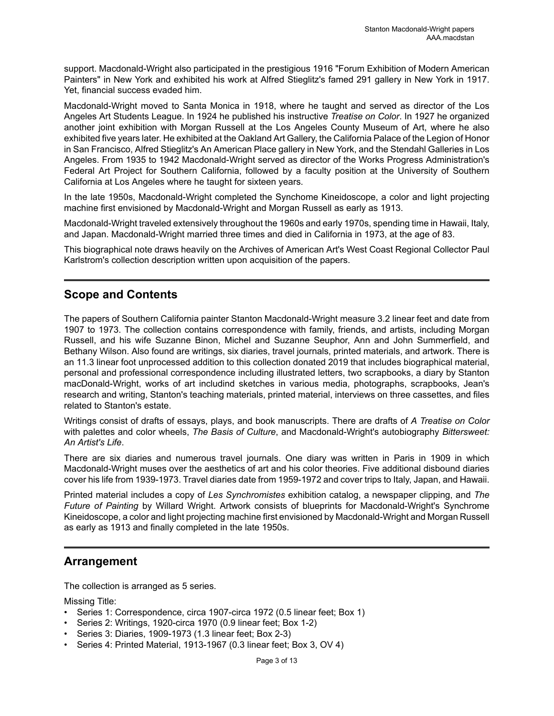support. Macdonald-Wright also participated in the prestigious 1916 "Forum Exhibition of Modern American Painters" in New York and exhibited his work at Alfred Stieglitz's famed 291 gallery in New York in 1917. Yet, financial success evaded him.

Macdonald-Wright moved to Santa Monica in 1918, where he taught and served as director of the Los Angeles Art Students League. In 1924 he published his instructive *Treatise on Color*. In 1927 he organized another joint exhibition with Morgan Russell at the Los Angeles County Museum of Art, where he also exhibited five years later. He exhibited at the Oakland Art Gallery, the California Palace of the Legion of Honor in San Francisco, Alfred Stieglitz's An American Place gallery in New York, and the Stendahl Galleries in Los Angeles. From 1935 to 1942 Macdonald-Wright served as director of the Works Progress Administration's Federal Art Project for Southern California, followed by a faculty position at the University of Southern California at Los Angeles where he taught for sixteen years.

In the late 1950s, Macdonald-Wright completed the Synchome Kineidoscope, a color and light projecting machine first envisioned by Macdonald-Wright and Morgan Russell as early as 1913.

Macdonald-Wright traveled extensively throughout the 1960s and early 1970s, spending time in Hawaii, Italy, and Japan. Macdonald-Wright married three times and died in California in 1973, at the age of 83.

This biographical note draws heavily on the Archives of American Art's West Coast Regional Collector Paul Karlstrom's collection description written upon acquisition of the papers.

# <span id="page-4-1"></span>**Scope and Contents**

The papers of Southern California painter Stanton Macdonald-Wright measure 3.2 linear feet and date from 1907 to 1973. The collection contains correspondence with family, friends, and artists, including Morgan Russell, and his wife Suzanne Binon, Michel and Suzanne Seuphor, Ann and John Summerfield, and Bethany Wilson. Also found are writings, six diaries, travel journals, printed materials, and artwork. There is an 11.3 linear foot unprocessed addition to this collection donated 2019 that includes biographical material, personal and professional correspondence including illustrated letters, two scrapbooks, a diary by Stanton macDonald-Wright, works of art includind sketches in various media, photographs, scrapbooks, Jean's research and writing, Stanton's teaching materials, printed material, interviews on three cassettes, and files related to Stanton's estate.

Writings consist of drafts of essays, plays, and book manuscripts. There are drafts of *A Treatise on Color* with palettes and color wheels, *The Basis of Culture*, and Macdonald-Wright's autobiography *Bittersweet: An Artist's Life*.

There are six diaries and numerous travel journals. One diary was written in Paris in 1909 in which Macdonald-Wright muses over the aesthetics of art and his color theories. Five additional disbound diaries cover his life from 1939-1973. Travel diaries date from 1959-1972 and cover trips to Italy, Japan, and Hawaii.

Printed material includes a copy of *Les Synchromistes* exhibition catalog, a newspaper clipping, and *The Future of Painting* by Willard Wright. Artwork consists of blueprints for Macdonald-Wright's Synchrome Kineidoscope, a color and light projecting machine first envisioned by Macdonald-Wright and Morgan Russell as early as 1913 and finally completed in the late 1950s.

## <span id="page-4-0"></span>**Arrangement**

The collection is arranged as 5 series.

Missing Title:

- Series 1: Correspondence, circa 1907-circa 1972 (0.5 linear feet; Box 1)
- Series 2: Writings, 1920-circa 1970 (0.9 linear feet; Box 1-2)
- Series 3: Diaries, 1909-1973 (1.3 linear feet; Box 2-3)
- Series 4: Printed Material, 1913-1967 (0.3 linear feet; Box 3, OV 4)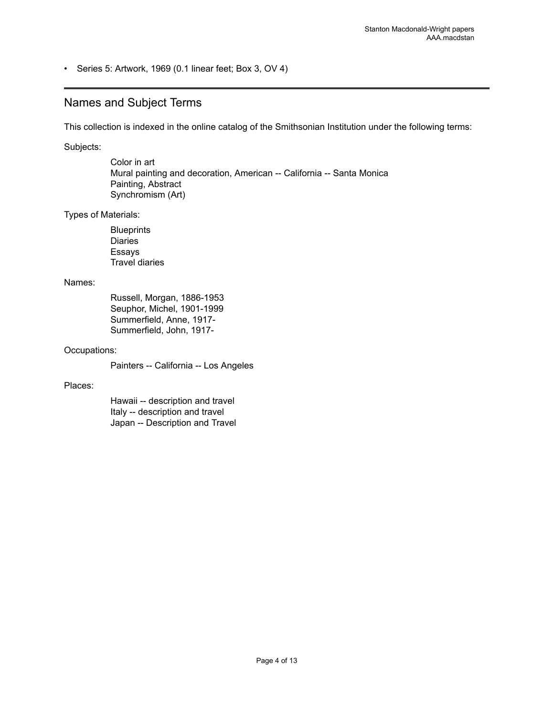• Series 5: Artwork, 1969 (0.1 linear feet; Box 3, OV 4)

### <span id="page-5-0"></span>Names and Subject Terms

This collection is indexed in the online catalog of the Smithsonian Institution under the following terms:

Subjects:

Color in art Mural painting and decoration, American -- California -- Santa Monica Painting, Abstract Synchromism (Art)

Types of Materials:

**Blueprints** Diaries Essays Travel diaries

#### Names:

Russell, Morgan, 1886-1953 Seuphor, Michel, 1901-1999 Summerfield, Anne, 1917- Summerfield, John, 1917-

#### Occupations:

Painters -- California -- Los Angeles

#### Places:

Hawaii -- description and travel Italy -- description and travel Japan -- Description and Travel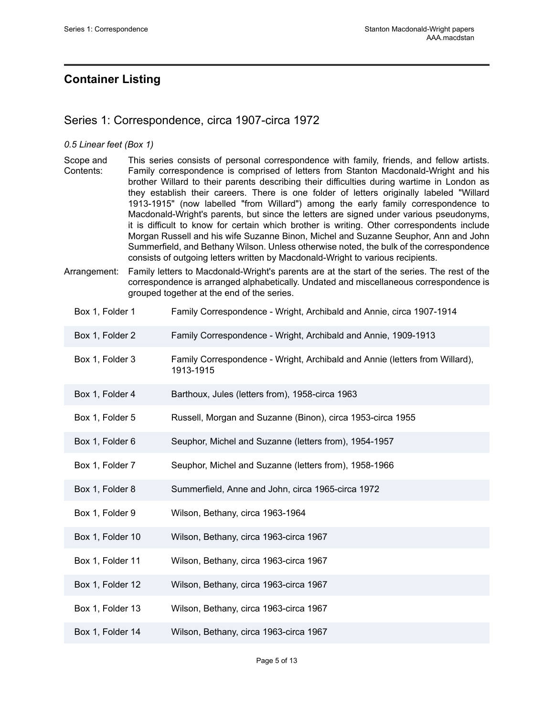# <span id="page-6-0"></span>**Container Listing**

### <span id="page-6-1"></span>Series 1: Correspondence, circa 1907-circa 1972

#### *0.5 Linear feet (Box 1)*

- Scope and Contents: This series consists of personal correspondence with family, friends, and fellow artists. Family correspondence is comprised of letters from Stanton Macdonald-Wright and his brother Willard to their parents describing their difficulties during wartime in London as they establish their careers. There is one folder of letters originally labeled "Willard 1913-1915" (now labelled "from Willard") among the early family correspondence to Macdonald-Wright's parents, but since the letters are signed under various pseudonyms, it is difficult to know for certain which brother is writing. Other correspondents include Morgan Russell and his wife Suzanne Binon, Michel and Suzanne Seuphor, Ann and John Summerfield, and Bethany Wilson. Unless otherwise noted, the bulk of the correspondence consists of outgoing letters written by Macdonald-Wright to various recipients.
- Arrangement: Family letters to Macdonald-Wright's parents are at the start of the series. The rest of the correspondence is arranged alphabetically. Undated and miscellaneous correspondence is grouped together at the end of the series.
	- Box 1, Folder 1 Family Correspondence Wright, Archibald and Annie, circa 1907-1914
	- Box 1, Folder 2 Family Correspondence Wright, Archibald and Annie, 1909-1913
	- Box 1, Folder 3 Family Correspondence Wright, Archibald and Annie (letters from Willard), 1913-1915
	- Box 1, Folder 4 Barthoux, Jules (letters from), 1958-circa 1963
	- Box 1, Folder 5 Russell, Morgan and Suzanne (Binon), circa 1953-circa 1955
	- Box 1, Folder 6 Seuphor, Michel and Suzanne (letters from), 1954-1957
	- Box 1, Folder 7 Seuphor, Michel and Suzanne (letters from), 1958-1966
	- Box 1, Folder 8 Summerfield, Anne and John, circa 1965-circa 1972
	- Box 1, Folder 9 Wilson, Bethany, circa 1963-1964
	- Box 1, Folder 10 Wilson, Bethany, circa 1963-circa 1967
	- Box 1, Folder 11 Wilson, Bethany, circa 1963-circa 1967
	- Box 1, Folder 12 Wilson, Bethany, circa 1963-circa 1967
	- Box 1, Folder 13 Wilson, Bethany, circa 1963-circa 1967
	- Box 1, Folder 14 Wilson, Bethany, circa 1963-circa 1967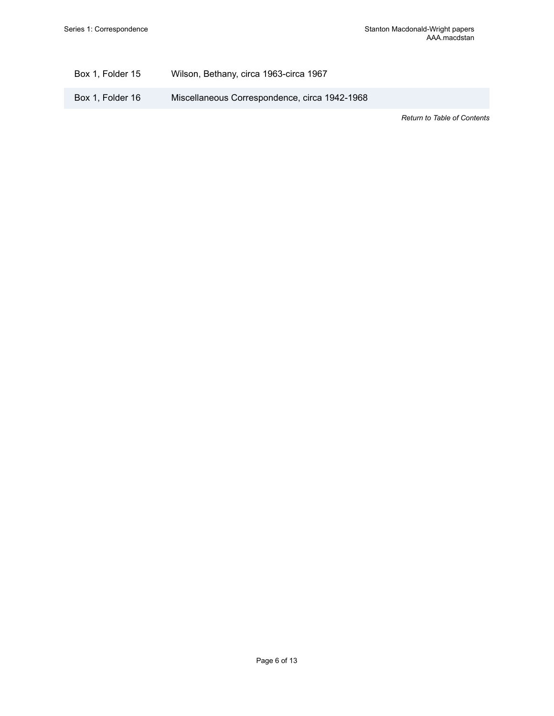### Box 1, Folder 15 Wilson, Bethany, circa 1963-circa 1967

Box 1, Folder 16 Miscellaneous Correspondence, circa 1942-1968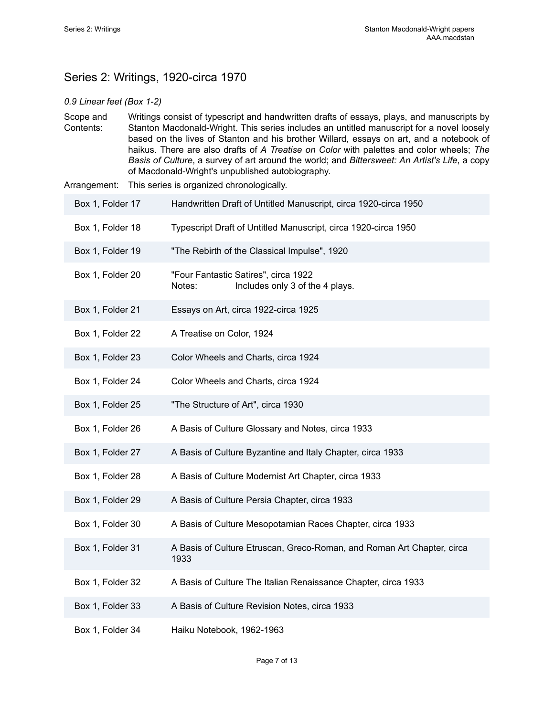# <span id="page-8-0"></span>Series 2: Writings, 1920-circa 1970

#### *0.9 Linear feet (Box 1-2)*

Scope and Contents: Writings consist of typescript and handwritten drafts of essays, plays, and manuscripts by Stanton Macdonald-Wright. This series includes an untitled manuscript for a novel loosely based on the lives of Stanton and his brother Willard, essays on art, and a notebook of haikus. There are also drafts of *A Treatise on Color* with palettes and color wheels; *The Basis of Culture*, a survey of art around the world; and *Bittersweet: An Artist's Life*, a copy of Macdonald-Wright's unpublished autobiography.

Arrangement: This series is organized chronologically.

| Box 1, Folder 17 | Handwritten Draft of Untitled Manuscript, circa 1920-circa 1950                   |
|------------------|-----------------------------------------------------------------------------------|
| Box 1, Folder 18 | Typescript Draft of Untitled Manuscript, circa 1920-circa 1950                    |
| Box 1, Folder 19 | "The Rebirth of the Classical Impulse", 1920                                      |
| Box 1, Folder 20 | "Four Fantastic Satires", circa 1922<br>Includes only 3 of the 4 plays.<br>Notes: |
| Box 1, Folder 21 | Essays on Art, circa 1922-circa 1925                                              |
| Box 1, Folder 22 | A Treatise on Color, 1924                                                         |
| Box 1, Folder 23 | Color Wheels and Charts, circa 1924                                               |
| Box 1, Folder 24 | Color Wheels and Charts, circa 1924                                               |
| Box 1, Folder 25 | "The Structure of Art", circa 1930                                                |
| Box 1, Folder 26 | A Basis of Culture Glossary and Notes, circa 1933                                 |
| Box 1, Folder 27 | A Basis of Culture Byzantine and Italy Chapter, circa 1933                        |
| Box 1, Folder 28 | A Basis of Culture Modernist Art Chapter, circa 1933                              |
| Box 1, Folder 29 | A Basis of Culture Persia Chapter, circa 1933                                     |
| Box 1, Folder 30 | A Basis of Culture Mesopotamian Races Chapter, circa 1933                         |
| Box 1, Folder 31 | A Basis of Culture Etruscan, Greco-Roman, and Roman Art Chapter, circa<br>1933    |
| Box 1, Folder 32 | A Basis of Culture The Italian Renaissance Chapter, circa 1933                    |
| Box 1, Folder 33 | A Basis of Culture Revision Notes, circa 1933                                     |
| Box 1, Folder 34 | Haiku Notebook, 1962-1963                                                         |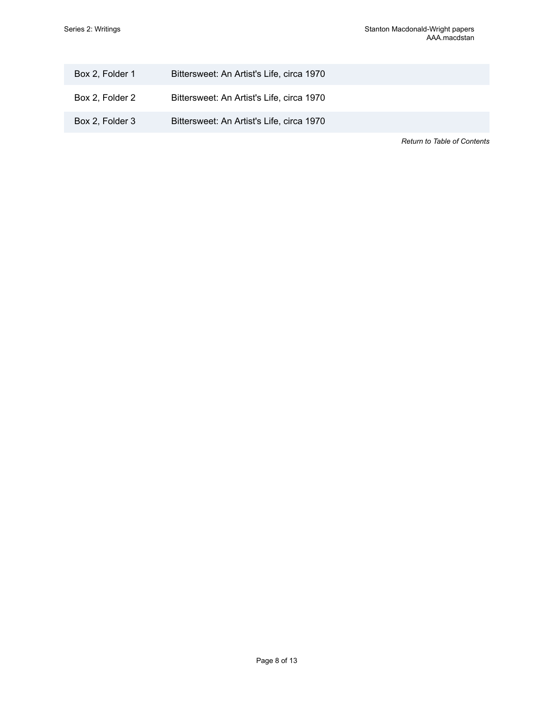| Box 2, Folder 1 | Bittersweet: An Artist's Life, circa 1970 |                                    |
|-----------------|-------------------------------------------|------------------------------------|
| Box 2, Folder 2 | Bittersweet: An Artist's Life, circa 1970 |                                    |
| Box 2, Folder 3 | Bittersweet: An Artist's Life, circa 1970 |                                    |
|                 |                                           | <b>Return to Table of Contents</b> |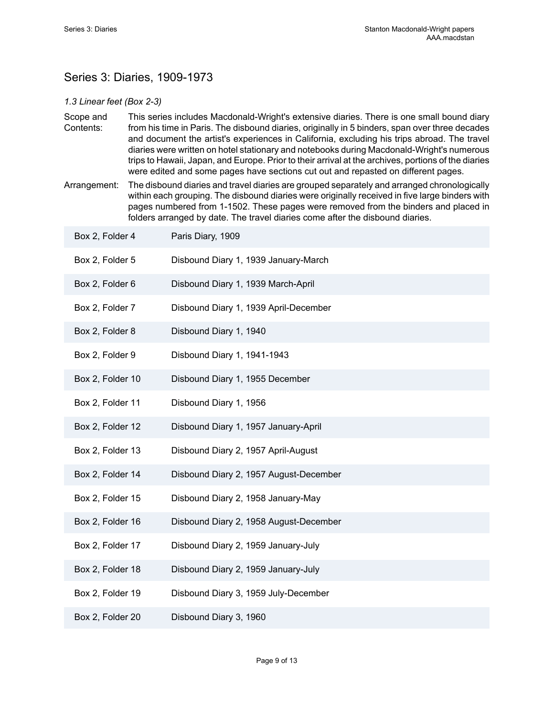# <span id="page-10-0"></span>Series 3: Diaries, 1909-1973

### *1.3 Linear feet (Box 2-3)*

- Scope and Contents: This series includes Macdonald-Wright's extensive diaries. There is one small bound diary from his time in Paris. The disbound diaries, originally in 5 binders, span over three decades and document the artist's experiences in California, excluding his trips abroad. The travel diaries were written on hotel stationary and notebooks during Macdonald-Wright's numerous trips to Hawaii, Japan, and Europe. Prior to their arrival at the archives, portions of the diaries were edited and some pages have sections cut out and repasted on different pages.
- Arrangement: The disbound diaries and travel diaries are grouped separately and arranged chronologically within each grouping. The disbound diaries were originally received in five large binders with pages numbered from 1-1502. These pages were removed from the binders and placed in folders arranged by date. The travel diaries come after the disbound diaries.

| Box 2, Folder 4  | Paris Diary, 1909                      |
|------------------|----------------------------------------|
| Box 2, Folder 5  | Disbound Diary 1, 1939 January-March   |
| Box 2, Folder 6  | Disbound Diary 1, 1939 March-April     |
| Box 2, Folder 7  | Disbound Diary 1, 1939 April-December  |
| Box 2, Folder 8  | Disbound Diary 1, 1940                 |
| Box 2, Folder 9  | Disbound Diary 1, 1941-1943            |
| Box 2, Folder 10 | Disbound Diary 1, 1955 December        |
| Box 2, Folder 11 | Disbound Diary 1, 1956                 |
| Box 2, Folder 12 | Disbound Diary 1, 1957 January-April   |
| Box 2, Folder 13 | Disbound Diary 2, 1957 April-August    |
| Box 2, Folder 14 | Disbound Diary 2, 1957 August-December |
| Box 2, Folder 15 | Disbound Diary 2, 1958 January-May     |
| Box 2, Folder 16 | Disbound Diary 2, 1958 August-December |
| Box 2, Folder 17 | Disbound Diary 2, 1959 January-July    |
| Box 2, Folder 18 | Disbound Diary 2, 1959 January-July    |
| Box 2, Folder 19 | Disbound Diary 3, 1959 July-December   |
| Box 2, Folder 20 | Disbound Diary 3, 1960                 |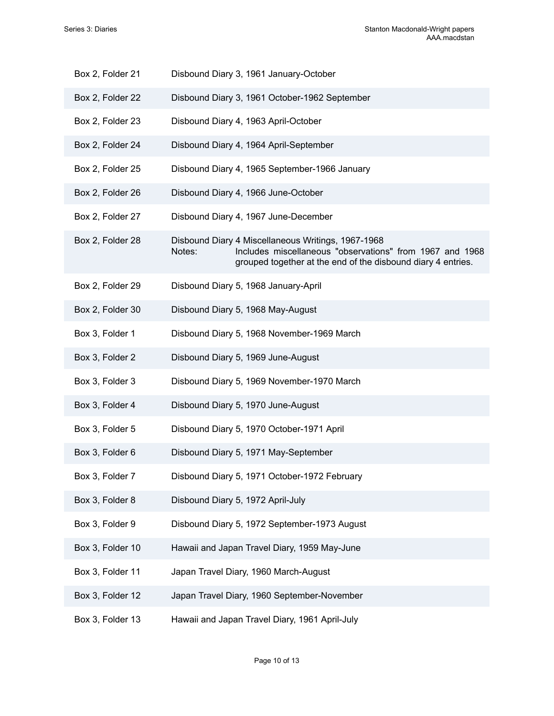| Box 2, Folder 21 | Disbound Diary 3, 1961 January-October                                                                                                                                                   |
|------------------|------------------------------------------------------------------------------------------------------------------------------------------------------------------------------------------|
| Box 2, Folder 22 | Disbound Diary 3, 1961 October-1962 September                                                                                                                                            |
| Box 2, Folder 23 | Disbound Diary 4, 1963 April-October                                                                                                                                                     |
| Box 2, Folder 24 | Disbound Diary 4, 1964 April-September                                                                                                                                                   |
| Box 2, Folder 25 | Disbound Diary 4, 1965 September-1966 January                                                                                                                                            |
| Box 2, Folder 26 | Disbound Diary 4, 1966 June-October                                                                                                                                                      |
| Box 2, Folder 27 | Disbound Diary 4, 1967 June-December                                                                                                                                                     |
| Box 2, Folder 28 | Disbound Diary 4 Miscellaneous Writings, 1967-1968<br>Includes miscellaneous "observations" from 1967 and 1968<br>Notes:<br>grouped together at the end of the disbound diary 4 entries. |
| Box 2, Folder 29 | Disbound Diary 5, 1968 January-April                                                                                                                                                     |
| Box 2, Folder 30 | Disbound Diary 5, 1968 May-August                                                                                                                                                        |
| Box 3, Folder 1  | Disbound Diary 5, 1968 November-1969 March                                                                                                                                               |
| Box 3, Folder 2  | Disbound Diary 5, 1969 June-August                                                                                                                                                       |
| Box 3, Folder 3  | Disbound Diary 5, 1969 November-1970 March                                                                                                                                               |
| Box 3, Folder 4  | Disbound Diary 5, 1970 June-August                                                                                                                                                       |
| Box 3, Folder 5  | Disbound Diary 5, 1970 October-1971 April                                                                                                                                                |
| Box 3, Folder 6  | Disbound Diary 5, 1971 May-September                                                                                                                                                     |
| Box 3, Folder 7  | Disbound Diary 5, 1971 October-1972 February                                                                                                                                             |
| Box 3, Folder 8  | Disbound Diary 5, 1972 April-July                                                                                                                                                        |
| Box 3, Folder 9  | Disbound Diary 5, 1972 September-1973 August                                                                                                                                             |
| Box 3, Folder 10 | Hawaii and Japan Travel Diary, 1959 May-June                                                                                                                                             |
| Box 3, Folder 11 | Japan Travel Diary, 1960 March-August                                                                                                                                                    |
| Box 3, Folder 12 | Japan Travel Diary, 1960 September-November                                                                                                                                              |
| Box 3, Folder 13 | Hawaii and Japan Travel Diary, 1961 April-July                                                                                                                                           |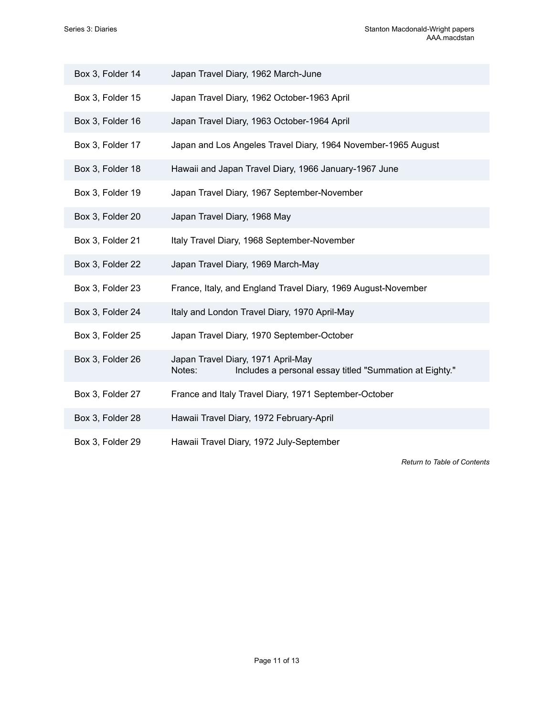| Box 3, Folder 14 | Japan Travel Diary, 1962 March-June                                                                     |
|------------------|---------------------------------------------------------------------------------------------------------|
| Box 3, Folder 15 | Japan Travel Diary, 1962 October-1963 April                                                             |
| Box 3, Folder 16 | Japan Travel Diary, 1963 October-1964 April                                                             |
| Box 3, Folder 17 | Japan and Los Angeles Travel Diary, 1964 November-1965 August                                           |
| Box 3, Folder 18 | Hawaii and Japan Travel Diary, 1966 January-1967 June                                                   |
| Box 3, Folder 19 | Japan Travel Diary, 1967 September-November                                                             |
| Box 3, Folder 20 | Japan Travel Diary, 1968 May                                                                            |
| Box 3, Folder 21 | Italy Travel Diary, 1968 September-November                                                             |
| Box 3, Folder 22 | Japan Travel Diary, 1969 March-May                                                                      |
| Box 3, Folder 23 | France, Italy, and England Travel Diary, 1969 August-November                                           |
| Box 3, Folder 24 | Italy and London Travel Diary, 1970 April-May                                                           |
| Box 3, Folder 25 | Japan Travel Diary, 1970 September-October                                                              |
| Box 3, Folder 26 | Japan Travel Diary, 1971 April-May<br>Includes a personal essay titled "Summation at Eighty."<br>Notes: |
| Box 3, Folder 27 | France and Italy Travel Diary, 1971 September-October                                                   |
| Box 3, Folder 28 | Hawaii Travel Diary, 1972 February-April                                                                |
| Box 3, Folder 29 | Hawaii Travel Diary, 1972 July-September                                                                |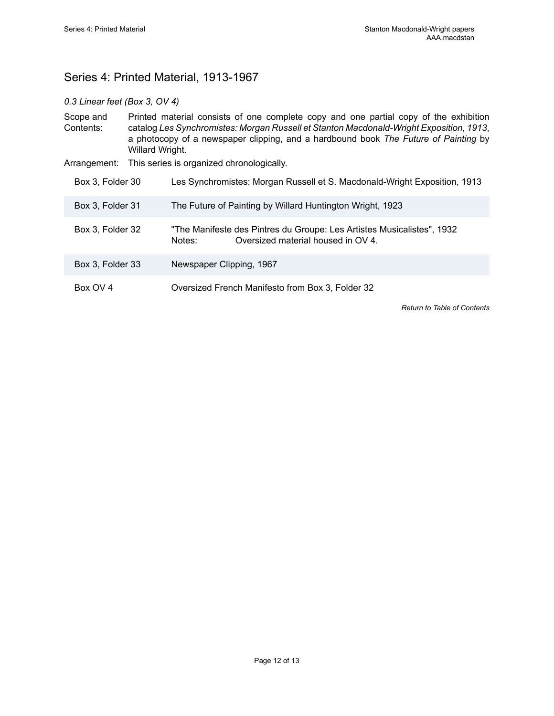# <span id="page-13-0"></span>Series 4: Printed Material, 1913-1967

### *0.3 Linear feet (Box 3, OV 4)*

| Scope and<br>Contents: | Printed material consists of one complete copy and one partial copy of the exhibition<br>catalog Les Synchromistes: Morgan Russell et Stanton Macdonald-Wright Exposition, 1913,<br>a photocopy of a newspaper clipping, and a hardbound book The Future of Painting by<br>Willard Wright. |                                                                                                                        |  |
|------------------------|--------------------------------------------------------------------------------------------------------------------------------------------------------------------------------------------------------------------------------------------------------------------------------------------|------------------------------------------------------------------------------------------------------------------------|--|
| Arrangement:           |                                                                                                                                                                                                                                                                                            | This series is organized chronologically.                                                                              |  |
| Box 3, Folder 30       |                                                                                                                                                                                                                                                                                            | Les Synchromistes: Morgan Russell et S. Macdonald-Wright Exposition, 1913                                              |  |
| Box 3, Folder 31       |                                                                                                                                                                                                                                                                                            | The Future of Painting by Willard Huntington Wright, 1923                                                              |  |
| Box 3, Folder 32       |                                                                                                                                                                                                                                                                                            | "The Manifeste des Pintres du Groupe: Les Artistes Musicalistes", 1932<br>Oversized material housed in OV 4.<br>Notes: |  |
| Box 3, Folder 33       |                                                                                                                                                                                                                                                                                            | Newspaper Clipping, 1967                                                                                               |  |
| Box OV 4               |                                                                                                                                                                                                                                                                                            | Oversized French Manifesto from Box 3, Folder 32                                                                       |  |